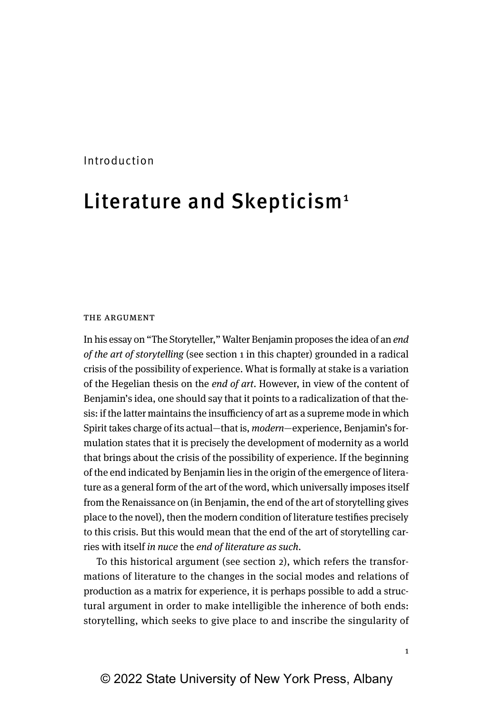## Introduction

# Literature and Skepticism<sup>1</sup>

### THE ARGUMENT

In his essay on "The Storyteller," Walter Benjamin proposes the idea of an *end of the art of storytelling* (see section 1 in this chapter) grounded in a radical crisis of the possibility of experience. What is formally at stake is a variation of the Hegelian thesis on the *end of art*. However, in view of the content of Benjamin's idea, one should say that it points to a radicalization of that thesis: if the latter maintains the insufficiency of art as a supreme mode in which Spirit takes charge of its actual—that is, *modern*—experience, Benjamin's formulation states that it is precisely the development of modernity as a world that brings about the crisis of the possibility of experience. If the beginning of the end indicated by Benjamin lies in the origin of the emergence of literature as a general form of the art of the word, which universally imposes itself from the Renaissance on (in Benjamin, the end of the art of storytelling gives place to the novel), then the modern condition of literature testifies precisely to this crisis. But this would mean that the end of the art of storytelling carries with itself *in nuce* the *end of literature as such*.

To this historical argument (see section 2), which refers the transformations of literature to the changes in the social modes and relations of production as a matrix for experience, it is perhaps possible to add a structural argument in order to make intelligible the inherence of both ends: storytelling, which seeks to give place to and inscribe the singularity of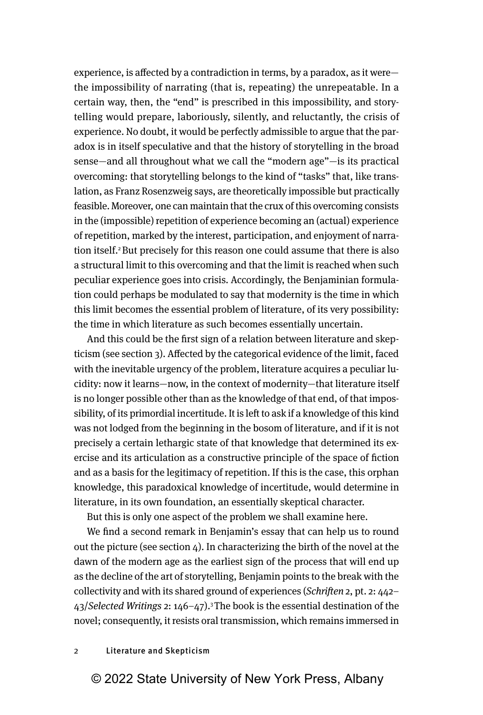experience, is affected by a contradiction in terms, by a paradox, as it were the impossibility of narrating (that is, repeating) the unrepeatable. In a certain way, then, the "end" is prescribed in this impossibility, and storytelling would prepare, laboriously, silently, and reluctantly, the crisis of experience. No doubt, it would be perfectly admissible to argue that the paradox is in itself speculative and that the history of storytelling in the broad sense—and all throughout what we call the "modern age"—is its practical overcoming: that storytelling belongs to the kind of "tasks" that, like translation, as Franz Rosenzweig says, are theoretically impossible but practically feasible. Moreover, one can maintain that the crux of this overcoming consists in the (impossible) repetition of experience becoming an (actual) experience of repetition, marked by the interest, participation, and enjoyment of narration itself.2 But precisely for this reason one could assume that there is also a structural limit to this overcoming and that the limit is reached when such peculiar experience goes into crisis. Accordingly, the Benjaminian formulation could perhaps be modulated to say that modernity is the time in which this limit becomes the essential problem of literature, of its very possibility: the time in which literature as such becomes essentially uncertain.

And this could be the first sign of a relation between literature and skepticism (see section 3). Affected by the categorical evidence of the limit, faced with the inevitable urgency of the problem, literature acquires a peculiar lucidity: now it learns—now, in the context of modernity—that literature itself is no longer possible other than as the knowledge of that end, of that impossibility, of its primordial incertitude. It is left to ask if a knowledge of this kind was not lodged from the beginning in the bosom of literature, and if it is not precisely a certain lethargic state of that knowledge that determined its exercise and its articulation as a constructive principle of the space of fiction and as a basis for the legitimacy of repetition. If this is the case, this orphan knowledge, this paradoxical knowledge of incertitude, would determine in literature, in its own foundation, an essentially skeptical character.

But this is only one aspect of the problem we shall examine here.

We find a second remark in Benjamin's essay that can help us to round out the picture (see section 4). In characterizing the birth of the novel at the dawn of the modern age as the earliest sign of the process that will end up as the decline of the art of storytelling, Benjamin points to the break with the collectivity and with its shared ground of experiences (*Schriften* 2, pt. 2: 442– 43/*Selected Writings* 2: 146–47).3 The book is the essential destination of the novel; consequently, it resists oral transmission, which remains immersed in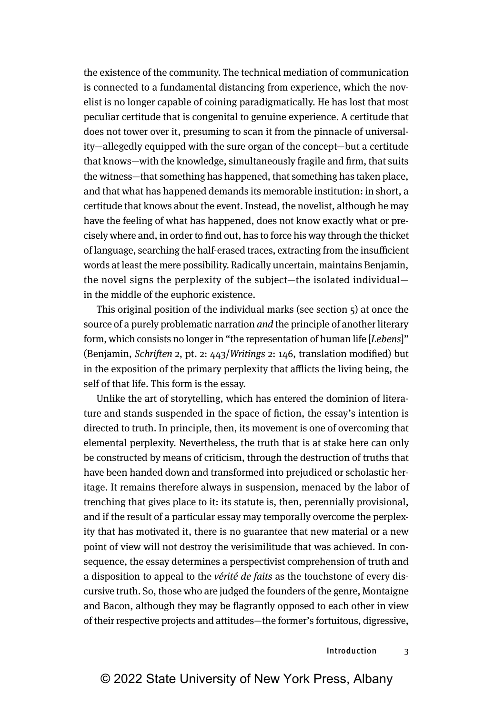the existence of the community. The technical mediation of communication is connected to a fundamental distancing from experience, which the novelist is no longer capable of coining paradigmatically. He has lost that most peculiar certitude that is congenital to genuine experience. A certitude that does not tower over it, presuming to scan it from the pinnacle of universality—allegedly equipped with the sure organ of the concept—but a certitude that knows—with the knowledge, simultaneously fragile and firm, that suits the witness—that something has happened, that something has taken place, and that what has happened demands its memorable institution: in short, a certitude that knows about the event. Instead, the novelist, although he may have the feeling of what has happened, does not know exactly what or precisely where and, in order to find out, has to force his way through the thicket of language, searching the half-erased traces, extracting from the insufficient words at least the mere possibility. Radically uncertain, maintains Benjamin, the novel signs the perplexity of the subject—the isolated individual in the middle of the euphoric existence.

This original position of the individual marks (see section 5) at once the source of a purely problematic narration *and* the principle of another literary form, which consists no longer in "the representation of human life [*Lebens*]" (Benjamin, *Schriften* 2, pt. 2: 443/*Writings* 2: 146, translation modified) but in the exposition of the primary perplexity that afflicts the living being, the self of that life. This form is the essay.

Unlike the art of storytelling, which has entered the dominion of literature and stands suspended in the space of fiction, the essay's intention is directed to truth. In principle, then, its movement is one of overcoming that elemental perplexity. Nevertheless, the truth that is at stake here can only be constructed by means of criticism, through the destruction of truths that have been handed down and transformed into prejudiced or scholastic heritage. It remains therefore always in suspension, menaced by the labor of trenching that gives place to it: its statute is, then, perennially provisional, and if the result of a particular essay may temporally overcome the perplexity that has motivated it, there is no guarantee that new material or a new point of view will not destroy the verisimilitude that was achieved. In consequence, the essay determines a perspectivist comprehension of truth and a disposition to appeal to the *vérité de faits* as the touchstone of every discursive truth. So, those who are judged the founders of the genre, Montaigne and Bacon, although they may be flagrantly opposed to each other in view of their respective projects and attitudes—the former's fortuitous, digressive,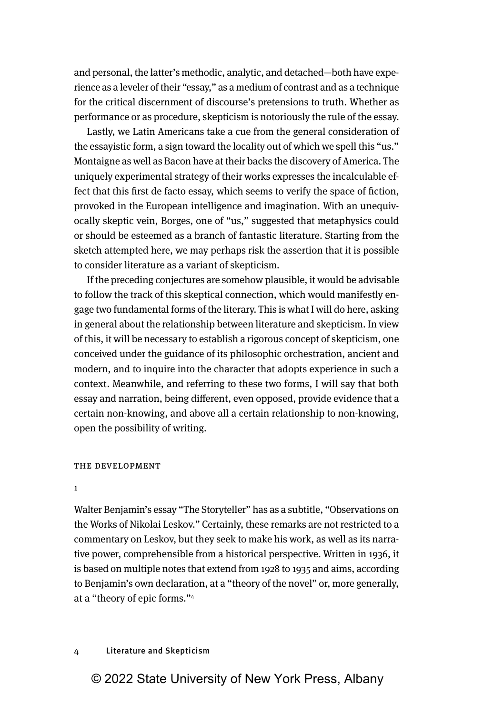and personal, the latter's methodic, analytic, and detached—both have experience as a leveler of their "essay," as a medium of contrast and as a technique for the critical discernment of discourse's pretensions to truth. Whether as performance or as procedure, skepticism is notoriously the rule of the essay.

Lastly, we Latin Americans take a cue from the general consideration of the essayistic form, a sign toward the locality out of which we spell this "us." Montaigne as well as Bacon have at their backs the discovery of America. The uniquely experimental strategy of their works expresses the incalculable effect that this first de facto essay, which seems to verify the space of fiction, provoked in the European intelligence and imagination. With an unequivocally skeptic vein, Borges, one of "us," suggested that metaphysics could or should be esteemed as a branch of fantastic literature. Starting from the sketch attempted here, we may perhaps risk the assertion that it is possible to consider literature as a variant of skepticism.

If the preceding conjectures are somehow plausible, it would be advisable to follow the track of this skeptical connection, which would manifestly engage two fundamental forms of the literary. This is what I will do here, asking in general about the relationship between literature and skepticism. In view of this, it will be necessary to establish a rigorous concept of skepticism, one conceived under the guidance of its philosophic orchestration, ancient and modern, and to inquire into the character that adopts experience in such a context. Meanwhile, and referring to these two forms, I will say that both essay and narration, being different, even opposed, provide evidence that a certain non-knowing, and above all a certain relationship to non-knowing, open the possibility of writing.

### The Development

1

Walter Benjamin's essay "The Storyteller" has as a subtitle, "Observations on the Works of Nikolai Leskov." Certainly, these remarks are not restricted to a commentary on Leskov, but they seek to make his work, as well as its narrative power, comprehensible from a historical perspective. Written in 1936, it is based on multiple notes that extend from 1928 to 1935 and aims, according to Benjamin's own declaration, at a "theory of the novel" or, more generally, at a "theory of epic forms."4

### 4 Literature and Skepticism

# © 2022 State University of New York Press, Albany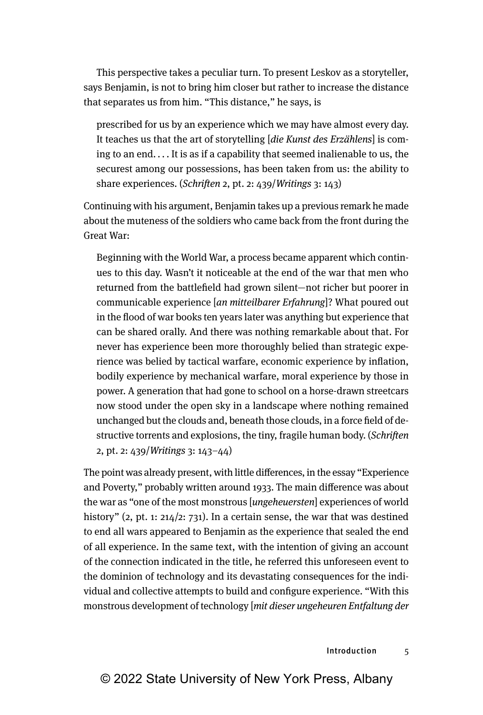This perspective takes a peculiar turn. To present Leskov as a storyteller, says Benjamin, is not to bring him closer but rather to increase the distance that separates us from him. "This distance," he says, is

prescribed for us by an experience which we may have almost every day. It teaches us that the art of storytelling [*die Kunst des Erzählens*] is coming to an end. . . . It is as if a capability that seemed inalienable to us, the securest among our possessions, has been taken from us: the ability to share experiences. (*Schriften* 2, pt. 2: 439/*Writings* 3: 143)

Continuing with his argument, Benjamin takes up a previous remark he made about the muteness of the soldiers who came back from the front during the Great War:

Beginning with the World War, a process became apparent which continues to this day. Wasn't it noticeable at the end of the war that men who returned from the battlefield had grown silent—not richer but poorer in communicable experience [*an mitteilbarer Erfahrung*]? What poured out in the flood of war books ten years later was anything but experience that can be shared orally. And there was nothing remarkable about that. For never has experience been more thoroughly belied than strategic experience was belied by tactical warfare, economic experience by inflation, bodily experience by mechanical warfare, moral experience by those in power. A generation that had gone to school on a horse-drawn streetcars now stood under the open sky in a landscape where nothing remained unchanged but the clouds and, beneath those clouds, in a force field of destructive torrents and explosions, the tiny, fragile human body. (*Schriften*  2, pt. 2: 439/*Writings* 3: 143–44)

The point was already present, with little differences, in the essay "Experience and Poverty," probably written around 1933. The main difference was about the war as "one of the most monstrous [*ungeheuersten*] experiences of world history" (2, pt. 1: 214/2: 731). In a certain sense, the war that was destined to end all wars appeared to Benjamin as the experience that sealed the end of all experience. In the same text, with the intention of giving an account of the connection indicated in the title, he referred this unforeseen event to the dominion of technology and its devastating consequences for the individual and collective attempts to build and configure experience. "With this monstrous development of technology [*mit dieser ungeheuren Entfaltung der*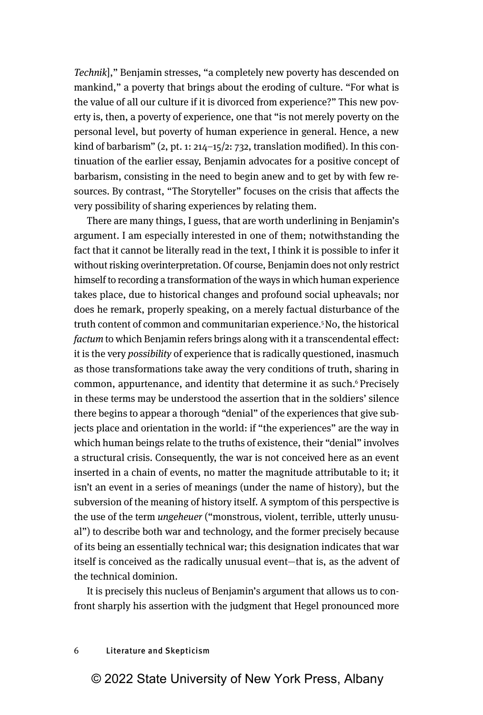*Technik*]," Benjamin stresses, "a completely new poverty has descended on mankind," a poverty that brings about the eroding of culture. "For what is the value of all our culture if it is divorced from experience?" This new poverty is, then, a poverty of experience, one that "is not merely poverty on the personal level, but poverty of human experience in general. Hence, a new kind of barbarism" (2, pt. 1: 214–15/2: 732, translation modified). In this continuation of the earlier essay, Benjamin advocates for a positive concept of barbarism, consisting in the need to begin anew and to get by with few resources. By contrast, "The Storyteller" focuses on the crisis that affects the very possibility of sharing experiences by relating them.

There are many things, I guess, that are worth underlining in Benjamin's argument. I am especially interested in one of them; notwithstanding the fact that it cannot be literally read in the text, I think it is possible to infer it without risking overinterpretation. Of course, Benjamin does not only restrict himself to recording a transformation of the ways in which human experience takes place, due to historical changes and profound social upheavals; nor does he remark, properly speaking, on a merely factual disturbance of the truth content of common and communitarian experience.5 No, the historical *factum* to which Benjamin refers brings along with it a transcendental effect: it is the very *possibility* of experience that is radically questioned, inasmuch as those transformations take away the very conditions of truth, sharing in common, appurtenance, and identity that determine it as such.<sup>6</sup> Precisely in these terms may be understood the assertion that in the soldiers' silence there begins to appear a thorough "denial" of the experiences that give subjects place and orientation in the world: if "the experiences" are the way in which human beings relate to the truths of existence, their "denial" involves a structural crisis. Consequently, the war is not conceived here as an event inserted in a chain of events, no matter the magnitude attributable to it; it isn't an event in a series of meanings (under the name of history), but the subversion of the meaning of history itself. A symptom of this perspective is the use of the term *ungeheuer* ("monstrous, violent, terrible, utterly unusual") to describe both war and technology, and the former precisely because of its being an essentially technical war; this designation indicates that war itself is conceived as the radically unusual event—that is, as the advent of the technical dominion.

It is precisely this nucleus of Benjamin's argument that allows us to confront sharply his assertion with the judgment that Hegel pronounced more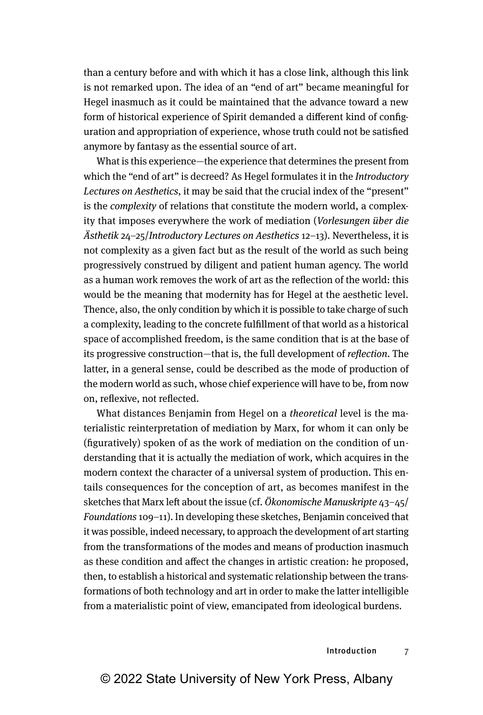than a century before and with which it has a close link, although this link is not remarked upon. The idea of an "end of art" became meaningful for Hegel inasmuch as it could be maintained that the advance toward a new form of historical experience of Spirit demanded a different kind of configuration and appropriation of experience, whose truth could not be satisfied anymore by fantasy as the essential source of art.

What is this experience—the experience that determines the present from which the "end of art" is decreed? As Hegel formulates it in the *Introductory Lectures on Aesthetics*, it may be said that the crucial index of the "present" is the *complexity* of relations that constitute the modern world, a complexity that imposes everywhere the work of mediation (*Vorlesungen über die Ästhetik* 24–25/*Introductory Lectures on Aesthetics* 12–13). Nevertheless, it is not complexity as a given fact but as the result of the world as such being progressively construed by diligent and patient human agency. The world as a human work removes the work of art as the reflection of the world: this would be the meaning that modernity has for Hegel at the aesthetic level. Thence, also, the only condition by which it is possible to take charge of such a complexity, leading to the concrete fulfillment of that world as a historical space of accomplished freedom, is the same condition that is at the base of its progressive construction—that is, the full development of *reflection*. The latter, in a general sense, could be described as the mode of production of the modern world as such, whose chief experience will have to be, from now on, reflexive, not reflected.

What distances Benjamin from Hegel on a *theoretical* level is the materialistic reinterpretation of mediation by Marx, for whom it can only be (figuratively) spoken of as the work of mediation on the condition of understanding that it is actually the mediation of work, which acquires in the modern context the character of a universal system of production. This entails consequences for the conception of art, as becomes manifest in the sketches that Marx left about the issue (cf. *Ökonomische Manuskripte* 43–45/ *Foundations* 109–11). In developing these sketches, Benjamin conceived that it was possible, indeed necessary, to approach the development of art starting from the transformations of the modes and means of production inasmuch as these condition and affect the changes in artistic creation: he proposed, then, to establish a historical and systematic relationship between the transformations of both technology and art in order to make the latter intelligible from a materialistic point of view, emancipated from ideological burdens.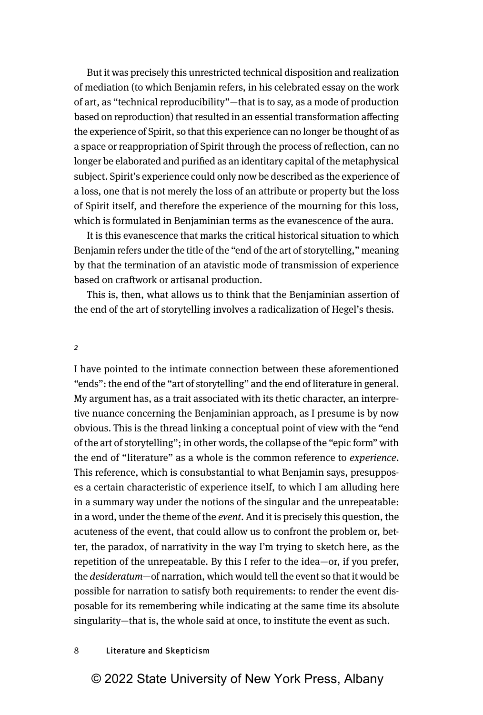But it was precisely this unrestricted technical disposition and realization of mediation (to which Benjamin refers, in his celebrated essay on the work of art, as "technical reproducibility"—that is to say, as a mode of production based on reproduction) that resulted in an essential transformation affecting the experience of Spirit, so that this experience can no longer be thought of as a space or reappropriation of Spirit through the process of reflection, can no longer be elaborated and purified as an identitary capital of the metaphysical subject. Spirit's experience could only now be described as the experience of a loss, one that is not merely the loss of an attribute or property but the loss of Spirit itself, and therefore the experience of the mourning for this loss, which is formulated in Benjaminian terms as the evanescence of the aura.

It is this evanescence that marks the critical historical situation to which Benjamin refers under the title of the "end of the art of storytelling," meaning by that the termination of an atavistic mode of transmission of experience based on craftwork or artisanal production.

This is, then, what allows us to think that the Benjaminian assertion of the end of the art of storytelling involves a radicalization of Hegel's thesis.

#### *2*

I have pointed to the intimate connection between these aforementioned "ends": the end of the "art of storytelling" and the end of literature in general. My argument has, as a trait associated with its thetic character, an interpretive nuance concerning the Benjaminian approach, as I presume is by now obvious. This is the thread linking a conceptual point of view with the "end of the art of storytelling"; in other words, the collapse of the "epic form" with the end of "literature" as a whole is the common reference to *experience*. This reference, which is consubstantial to what Benjamin says, presupposes a certain characteristic of experience itself, to which I am alluding here in a summary way under the notions of the singular and the unrepeatable: in a word, under the theme of the *event*. And it is precisely this question, the acuteness of the event, that could allow us to confront the problem or, better, the paradox, of narrativity in the way I'm trying to sketch here, as the repetition of the unrepeatable. By this I refer to the idea―or, if you prefer, the *desideratum*―of narration, which would tell the event so that it would be possible for narration to satisfy both requirements: to render the event disposable for its remembering while indicating at the same time its absolute singularity—that is, the whole said at once, to institute the event as such.

#### 8 Literature and Skepticism

# © 2022 State University of New York Press, Albany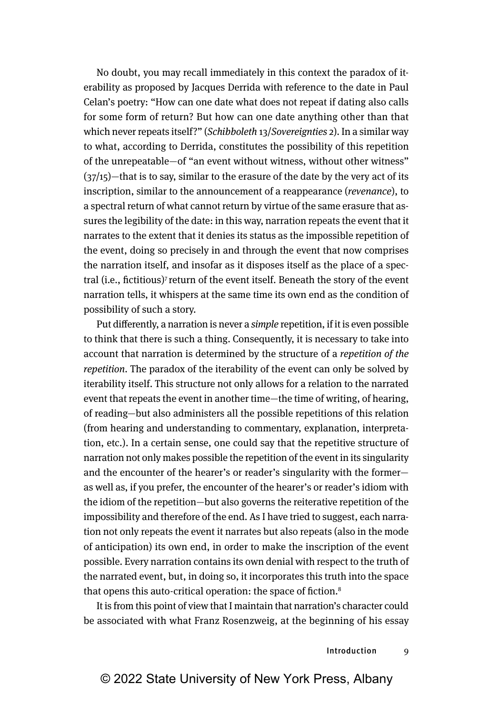No doubt, you may recall immediately in this context the paradox of iterability as proposed by Jacques Derrida with reference to the date in Paul Celan's poetry: "How can one date what does not repeat if dating also calls for some form of return? But how can one date anything other than that which never repeats itself?" (*Schibboleth* 13/*Sovereignties* 2). In a similar way to what, according to Derrida, constitutes the possibility of this repetition of the unrepeatable―of "an event without witness, without other witness"  $(37/15)$ —that is to say, similar to the erasure of the date by the very act of its inscription, similar to the announcement of a reappearance (*revenance*), to a spectral return of what cannot return by virtue of the same erasure that assures the legibility of the date: in this way, narration repeats the event that it narrates to the extent that it denies its status as the impossible repetition of the event, doing so precisely in and through the event that now comprises the narration itself, and insofar as it disposes itself as the place of a spectral (i.e., fictitious)<sup>7</sup> return of the event itself. Beneath the story of the event narration tells, it whispers at the same time its own end as the condition of possibility of such a story.

Put differently, a narration is never a *simple* repetition, if it is even possible to think that there is such a thing. Consequently, it is necessary to take into account that narration is determined by the structure of a *repetition of the repetition*. The paradox of the iterability of the event can only be solved by iterability itself. This structure not only allows for a relation to the narrated event that repeats the event in another time―the time of writing, of hearing, of reading―but also administers all the possible repetitions of this relation (from hearing and understanding to commentary, explanation, interpretation, etc.). In a certain sense, one could say that the repetitive structure of narration not only makes possible the repetition of the event in its singularity and the encounter of the hearer's or reader's singularity with the former as well as, if you prefer, the encounter of the hearer's or reader's idiom with the idiom of the repetition—but also governs the reiterative repetition of the impossibility and therefore of the end. As I have tried to suggest, each narration not only repeats the event it narrates but also repeats (also in the mode of anticipation) its own end, in order to make the inscription of the event possible. Every narration contains its own denial with respect to the truth of the narrated event, but, in doing so, it incorporates this truth into the space that opens this auto-critical operation: the space of fiction.8

It is from this point of view that I maintain that narration's character could be associated with what Franz Rosenzweig, at the beginning of his essay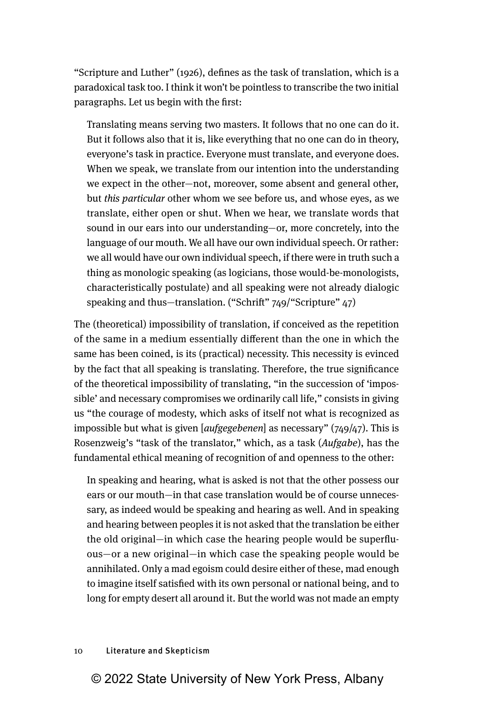"Scripture and Luther" (1926), defines as the task of translation, which is a paradoxical task too. I think it won't be pointless to transcribe the two initial paragraphs. Let us begin with the first:

Translating means serving two masters. It follows that no one can do it. But it follows also that it is, like everything that no one can do in theory, everyone's task in practice. Everyone must translate, and everyone does. When we speak, we translate from our intention into the understanding we expect in the other—not, moreover, some absent and general other, but *this particular* other whom we see before us, and whose eyes, as we translate, either open or shut. When we hear, we translate words that sound in our ears into our understanding—or, more concretely, into the language of our mouth. We all have our own individual speech. Or rather: we all would have our own individual speech, if there were in truth such a thing as monologic speaking (as logicians, those would-be-monologists, characteristically postulate) and all speaking were not already dialogic speaking and thus—translation. ("Schrift" 749/"Scripture" 47)

The (theoretical) impossibility of translation, if conceived as the repetition of the same in a medium essentially different than the one in which the same has been coined, is its (practical) necessity. This necessity is evinced by the fact that all speaking is translating. Therefore, the true significance of the theoretical impossibility of translating, "in the succession of 'impossible' and necessary compromises we ordinarily call life," consists in giving us "the courage of modesty, which asks of itself not what is recognized as impossible but what is given [*aufgegebenen*] as necessary" (749/47). This is Rosenzweig's "task of the translator," which, as a task (*Aufgabe*), has the fundamental ethical meaning of recognition of and openness to the other:

In speaking and hearing, what is asked is not that the other possess our ears or our mouth—in that case translation would be of course unnecessary, as indeed would be speaking and hearing as well. And in speaking and hearing between peoples it is not asked that the translation be either the old original—in which case the hearing people would be superfluous—or a new original—in which case the speaking people would be annihilated. Only a mad egoism could desire either of these, mad enough to imagine itself satisfied with its own personal or national being, and to long for empty desert all around it. But the world was not made an empty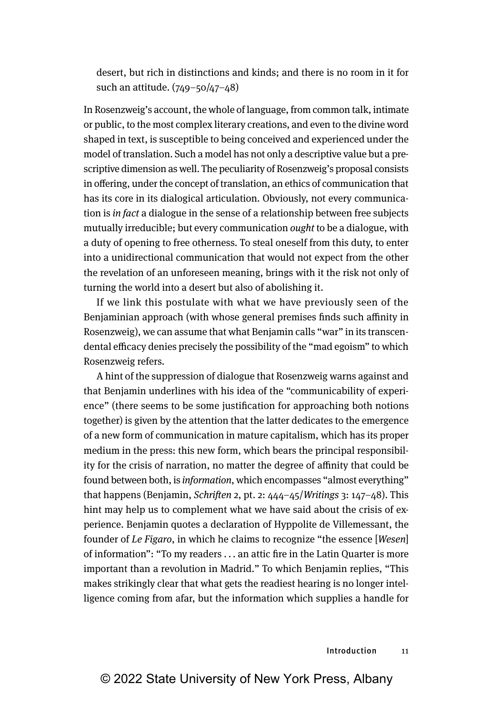desert, but rich in distinctions and kinds; and there is no room in it for such an attitude. (749–50/47–48)

In Rosenzweig's account, the whole of language, from common talk, intimate or public, to the most complex literary creations, and even to the divine word shaped in text, is susceptible to being conceived and experienced under the model of translation. Such a model has not only a descriptive value but a prescriptive dimension as well. The peculiarity of Rosenzweig's proposal consists in offering, under the concept of translation, an ethics of communication that has its core in its dialogical articulation. Obviously, not every communication is *in fact* a dialogue in the sense of a relationship between free subjects mutually irreducible; but every communication *ought* to be a dialogue, with a duty of opening to free otherness. To steal oneself from this duty, to enter into a unidirectional communication that would not expect from the other the revelation of an unforeseen meaning, brings with it the risk not only of turning the world into a desert but also of abolishing it.

If we link this postulate with what we have previously seen of the Benjaminian approach (with whose general premises finds such affinity in Rosenzweig), we can assume that what Benjamin calls "war" in its transcendental efficacy denies precisely the possibility of the "mad egoism" to which Rosenzweig refers.

A hint of the suppression of dialogue that Rosenzweig warns against and that Benjamin underlines with his idea of the "communicability of experience" (there seems to be some justification for approaching both notions together) is given by the attention that the latter dedicates to the emergence of a new form of communication in mature capitalism, which has its proper medium in the press: this new form, which bears the principal responsibility for the crisis of narration, no matter the degree of affinity that could be found between both, is *information*, which encompasses "almost everything" that happens (Benjamin, *Schriften* 2, pt. 2: 444–45/*Writings* 3: 147–48). This hint may help us to complement what we have said about the crisis of experience. Benjamin quotes a declaration of Hyppolite de Villemessant, the founder of *Le Figaro*, in which he claims to recognize "the essence [*Wesen*] of information": "To my readers . . . an attic fire in the Latin Quarter is more important than a revolution in Madrid." To which Benjamin replies, "This makes strikingly clear that what gets the readiest hearing is no longer intelligence coming from afar, but the information which supplies a handle for

Introduction 11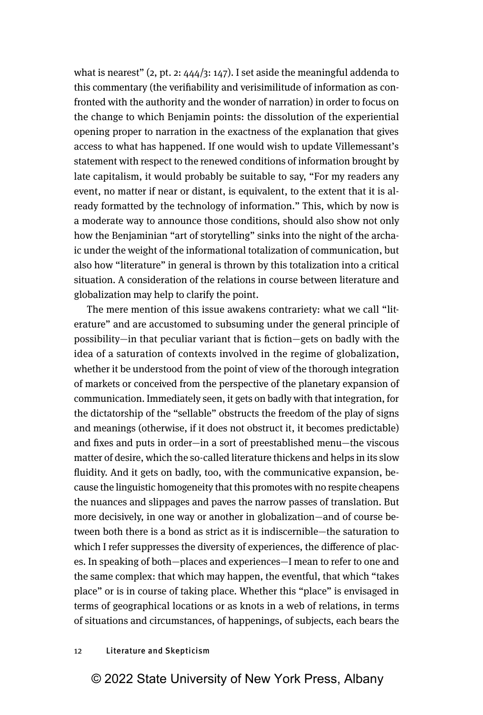what is nearest"  $(2, pt. 2: 444/3: 147)$ . I set aside the meaningful addenda to this commentary (the verifiability and verisimilitude of information as confronted with the authority and the wonder of narration) in order to focus on the change to which Benjamin points: the dissolution of the experiential opening proper to narration in the exactness of the explanation that gives access to what has happened. If one would wish to update Villemessant's statement with respect to the renewed conditions of information brought by late capitalism, it would probably be suitable to say, "For my readers any event, no matter if near or distant, is equivalent, to the extent that it is already formatted by the technology of information." This, which by now is a moderate way to announce those conditions, should also show not only how the Benjaminian "art of storytelling" sinks into the night of the archaic under the weight of the informational totalization of communication, but also how "literature" in general is thrown by this totalization into a critical situation. A consideration of the relations in course between literature and globalization may help to clarify the point.

The mere mention of this issue awakens contrariety: what we call "literature" and are accustomed to subsuming under the general principle of possibility―in that peculiar variant that is fiction―gets on badly with the idea of a saturation of contexts involved in the regime of globalization, whether it be understood from the point of view of the thorough integration of markets or conceived from the perspective of the planetary expansion of communication. Immediately seen, it gets on badly with that integration, for the dictatorship of the "sellable" obstructs the freedom of the play of signs and meanings (otherwise, if it does not obstruct it, it becomes predictable) and fixes and puts in order—in a sort of preestablished menu—the viscous matter of desire, which the so-called literature thickens and helps in its slow fluidity. And it gets on badly, too, with the communicative expansion, because the linguistic homogeneity that this promotes with no respite cheapens the nuances and slippages and paves the narrow passes of translation. But more decisively, in one way or another in globalization―and of course between both there is a bond as strict as it is indiscernible―the saturation to which I refer suppresses the diversity of experiences, the difference of places. In speaking of both―places and experiences―I mean to refer to one and the same complex: that which may happen, the eventful, that which "takes place" or is in course of taking place. Whether this "place" is envisaged in terms of geographical locations or as knots in a web of relations, in terms of situations and circumstances, of happenings, of subjects, each bears the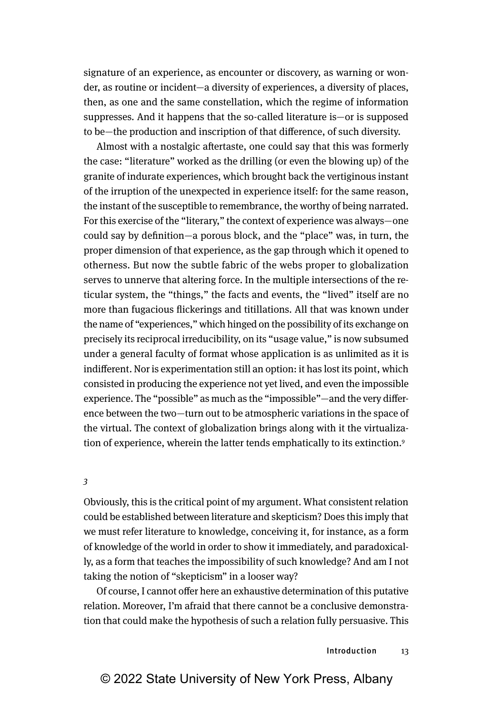signature of an experience, as encounter or discovery, as warning or wonder, as routine or incident—a diversity of experiences, a diversity of places, then, as one and the same constellation, which the regime of information suppresses. And it happens that the so-called literature is―or is supposed to be―the production and inscription of that difference, of such diversity.

Almost with a nostalgic aftertaste, one could say that this was formerly the case: "literature" worked as the drilling (or even the blowing up) of the granite of indurate experiences, which brought back the vertiginous instant of the irruption of the unexpected in experience itself: for the same reason, the instant of the susceptible to remembrance, the worthy of being narrated. For this exercise of the "literary," the context of experience was always―one could say by definition―a porous block, and the "place" was, in turn, the proper dimension of that experience, as the gap through which it opened to otherness. But now the subtle fabric of the webs proper to globalization serves to unnerve that altering force. In the multiple intersections of the reticular system, the "things," the facts and events, the "lived" itself are no more than fugacious flickerings and titillations. All that was known under the name of "experiences," which hinged on the possibility of its exchange on precisely its reciprocal irreducibility, on its "usage value," is now subsumed under a general faculty of format whose application is as unlimited as it is indifferent. Nor is experimentation still an option: it has lost its point, which consisted in producing the experience not yet lived, and even the impossible experience. The "possible" as much as the "impossible"―and the very difference between the two―turn out to be atmospheric variations in the space of the virtual. The context of globalization brings along with it the virtualization of experience, wherein the latter tends emphatically to its extinction.<sup>9</sup>

*3*

Obviously, this is the critical point of my argument. What consistent relation could be established between literature and skepticism? Does this imply that we must refer literature to knowledge, conceiving it, for instance, as a form of knowledge of the world in order to show it immediately, and paradoxically, as a form that teaches the impossibility of such knowledge? And am I not taking the notion of "skepticism" in a looser way?

Of course, I cannot offer here an exhaustive determination of this putative relation. Moreover, I'm afraid that there cannot be a conclusive demonstration that could make the hypothesis of such a relation fully persuasive. This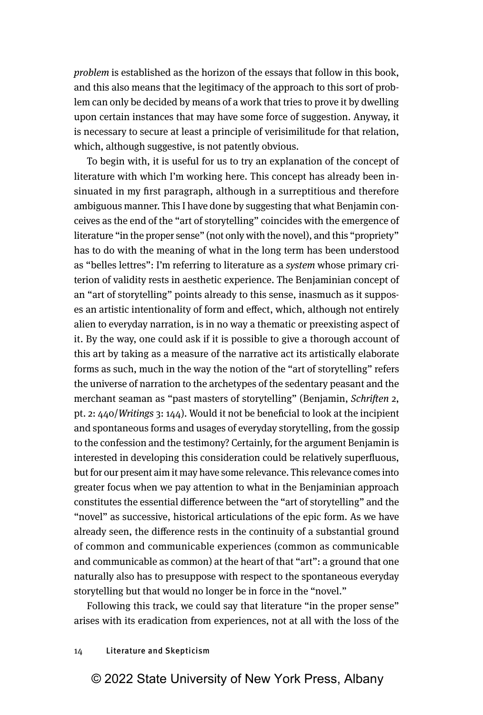*problem* is established as the horizon of the essays that follow in this book, and this also means that the legitimacy of the approach to this sort of problem can only be decided by means of a work that tries to prove it by dwelling upon certain instances that may have some force of suggestion. Anyway, it is necessary to secure at least a principle of verisimilitude for that relation, which, although suggestive, is not patently obvious.

To begin with, it is useful for us to try an explanation of the concept of literature with which I'm working here. This concept has already been insinuated in my first paragraph, although in a surreptitious and therefore ambiguous manner. This I have done by suggesting that what Benjamin conceives as the end of the "art of storytelling" coincides with the emergence of literature "in the proper sense" (not only with the novel), and this "propriety" has to do with the meaning of what in the long term has been understood as "belles lettres": I'm referring to literature as a *system* whose primary criterion of validity rests in aesthetic experience. The Benjaminian concept of an "art of storytelling" points already to this sense, inasmuch as it supposes an artistic intentionality of form and effect, which, although not entirely alien to everyday narration, is in no way a thematic or preexisting aspect of it. By the way, one could ask if it is possible to give a thorough account of this art by taking as a measure of the narrative act its artistically elaborate forms as such, much in the way the notion of the "art of storytelling" refers the universe of narration to the archetypes of the sedentary peasant and the merchant seaman as "past masters of storytelling" (Benjamin, *Schriften* 2, pt. 2: 440/*Writings* 3: 144). Would it not be beneficial to look at the incipient and spontaneous forms and usages of everyday storytelling, from the gossip to the confession and the testimony? Certainly, for the argument Benjamin is interested in developing this consideration could be relatively superfluous, but for our present aim it may have some relevance. This relevance comes into greater focus when we pay attention to what in the Benjaminian approach constitutes the essential difference between the "art of storytelling" and the "novel" as successive, historical articulations of the epic form. As we have already seen, the difference rests in the continuity of a substantial ground of common and communicable experiences (common as communicable and communicable as common) at the heart of that "art": a ground that one naturally also has to presuppose with respect to the spontaneous everyday storytelling but that would no longer be in force in the "novel."

Following this track, we could say that literature "in the proper sense" arises with its eradication from experiences, not at all with the loss of the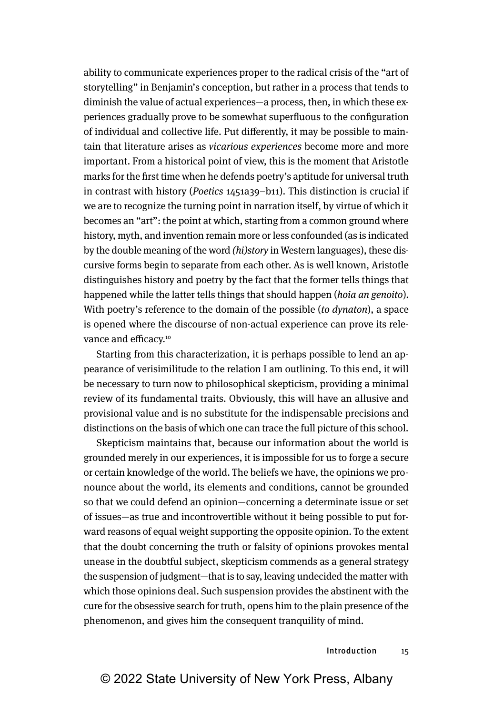ability to communicate experiences proper to the radical crisis of the "art of storytelling" in Benjamin's conception, but rather in a process that tends to diminish the value of actual experiences—a process, then, in which these experiences gradually prove to be somewhat superfluous to the configuration of individual and collective life. Put differently, it may be possible to maintain that literature arises as *vicarious experiences* become more and more important. From a historical point of view, this is the moment that Aristotle marks for the first time when he defends poetry's aptitude for universal truth in contrast with history (*Poetics* 1451a39–b11). This distinction is crucial if we are to recognize the turning point in narration itself, by virtue of which it becomes an "art": the point at which, starting from a common ground where history, myth, and invention remain more or less confounded (as is indicated by the double meaning of the word *(hi)story* in Western languages), these discursive forms begin to separate from each other. As is well known, Aristotle distinguishes history and poetry by the fact that the former tells things that happened while the latter tells things that should happen (*hoia an genoito*)*.*  With poetry's reference to the domain of the possible (*to dynaton*), a space is opened where the discourse of non-actual experience can prove its relevance and efficacy.<sup>10</sup>

Starting from this characterization, it is perhaps possible to lend an appearance of verisimilitude to the relation I am outlining. To this end, it will be necessary to turn now to philosophical skepticism, providing a minimal review of its fundamental traits. Obviously, this will have an allusive and provisional value and is no substitute for the indispensable precisions and distinctions on the basis of which one can trace the full picture of this school.

Skepticism maintains that, because our information about the world is grounded merely in our experiences, it is impossible for us to forge a secure or certain knowledge of the world. The beliefs we have, the opinions we pronounce about the world, its elements and conditions, cannot be grounded so that we could defend an opinion―concerning a determinate issue or set of issues―as true and incontrovertible without it being possible to put forward reasons of equal weight supporting the opposite opinion. To the extent that the doubt concerning the truth or falsity of opinions provokes mental unease in the doubtful subject, skepticism commends as a general strategy the suspension of judgment—that is to say, leaving undecided the matter with which those opinions deal. Such suspension provides the abstinent with the cure for the obsessive search for truth, opens him to the plain presence of the phenomenon, and gives him the consequent tranquility of mind.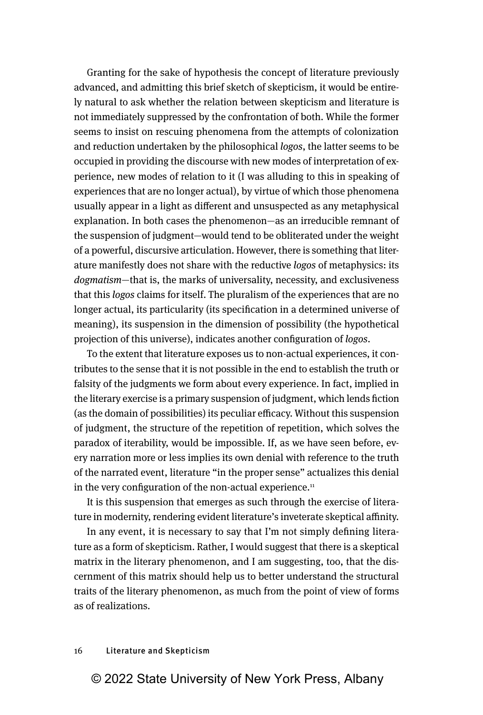Granting for the sake of hypothesis the concept of literature previously advanced, and admitting this brief sketch of skepticism, it would be entirely natural to ask whether the relation between skepticism and literature is not immediately suppressed by the confrontation of both. While the former seems to insist on rescuing phenomena from the attempts of colonization and reduction undertaken by the philosophical *logos*, the latter seems to be occupied in providing the discourse with new modes of interpretation of experience, new modes of relation to it (I was alluding to this in speaking of experiences that are no longer actual), by virtue of which those phenomena usually appear in a light as different and unsuspected as any metaphysical explanation. In both cases the phenomenon―as an irreducible remnant of the suspension of judgment―would tend to be obliterated under the weight of a powerful, discursive articulation. However, there is something that literature manifestly does not share with the reductive *logos* of metaphysics: its *dogmatism*—that is, the marks of universality, necessity, and exclusiveness that this *logos* claims for itself. The pluralism of the experiences that are no longer actual, its particularity (its specification in a determined universe of meaning), its suspension in the dimension of possibility (the hypothetical projection of this universe), indicates another configuration of *logos*.

To the extent that literature exposes us to non-actual experiences, it contributes to the sense that it is not possible in the end to establish the truth or falsity of the judgments we form about every experience. In fact, implied in the literary exercise is a primary suspension of judgment, which lends fiction (as the domain of possibilities) its peculiar efficacy. Without this suspension of judgment, the structure of the repetition of repetition, which solves the paradox of iterability, would be impossible. If, as we have seen before, every narration more or less implies its own denial with reference to the truth of the narrated event, literature "in the proper sense" actualizes this denial in the very configuration of the non-actual experience.<sup>11</sup>

It is this suspension that emerges as such through the exercise of literature in modernity, rendering evident literature's inveterate skeptical affinity.

In any event, it is necessary to say that I'm not simply defining literature as a form of skepticism. Rather, I would suggest that there is a skeptical matrix in the literary phenomenon, and I am suggesting, too, that the discernment of this matrix should help us to better understand the structural traits of the literary phenomenon, as much from the point of view of forms as of realizations.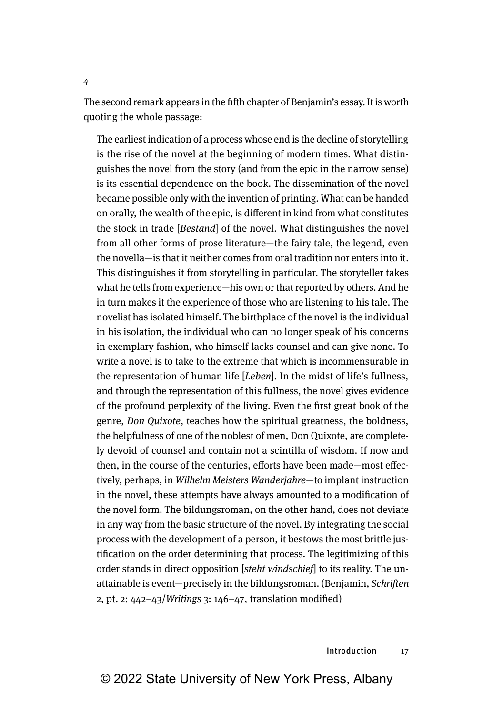The second remark appears in the fifth chapter of Benjamin's essay. It is worth quoting the whole passage:

The earliest indication of a process whose end is the decline of storytelling is the rise of the novel at the beginning of modern times. What distinguishes the novel from the story (and from the epic in the narrow sense) is its essential dependence on the book. The dissemination of the novel became possible only with the invention of printing. What can be handed on orally, the wealth of the epic, is different in kind from what constitutes the stock in trade [*Bestand*] of the novel. What distinguishes the novel from all other forms of prose literature—the fairy tale, the legend, even the novella—is that it neither comes from oral tradition nor enters into it. This distinguishes it from storytelling in particular. The storyteller takes what he tells from experience—his own or that reported by others. And he in turn makes it the experience of those who are listening to his tale. The novelist has isolated himself. The birthplace of the novel is the individual in his isolation, the individual who can no longer speak of his concerns in exemplary fashion, who himself lacks counsel and can give none. To write a novel is to take to the extreme that which is incommensurable in the representation of human life [*Leben*]. In the midst of life's fullness, and through the representation of this fullness, the novel gives evidence of the profound perplexity of the living. Even the first great book of the genre, *Don Quixote*, teaches how the spiritual greatness, the boldness, the helpfulness of one of the noblest of men, Don Quixote, are completely devoid of counsel and contain not a scintilla of wisdom. If now and then, in the course of the centuries, efforts have been made—most effectively, perhaps, in *Wilhelm Meisters Wanderjahre*—to implant instruction in the novel, these attempts have always amounted to a modification of the novel form. The bildungsroman, on the other hand, does not deviate in any way from the basic structure of the novel. By integrating the social process with the development of a person, it bestows the most brittle justification on the order determining that process. The legitimizing of this order stands in direct opposition [*steht windschief*] to its reality. The unattainable is event—precisely in the bildungsroman. (Benjamin, *Schriften*  2, pt. 2: 442–43/*Writings* 3: 146–47, translation modified)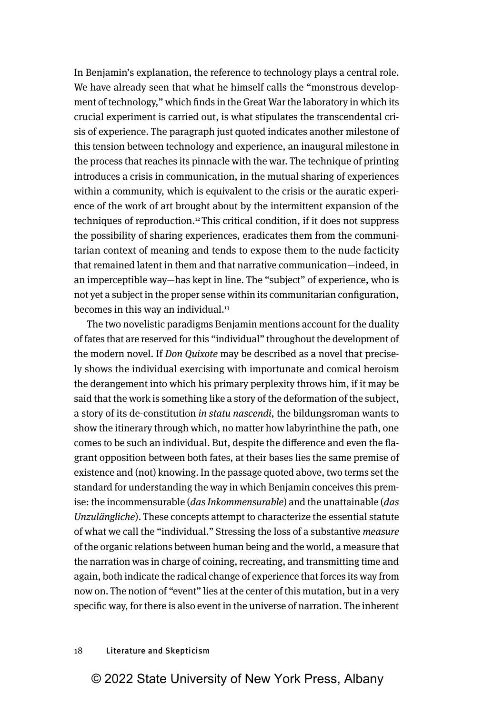In Benjamin's explanation, the reference to technology plays a central role. We have already seen that what he himself calls the "monstrous development of technology," which finds in the Great War the laboratory in which its crucial experiment is carried out, is what stipulates the transcendental crisis of experience. The paragraph just quoted indicates another milestone of this tension between technology and experience, an inaugural milestone in the process that reaches its pinnacle with the war. The technique of printing introduces a crisis in communication, in the mutual sharing of experiences within a community, which is equivalent to the crisis or the auratic experience of the work of art brought about by the intermittent expansion of the techniques of reproduction.<sup>12</sup> This critical condition, if it does not suppress the possibility of sharing experiences, eradicates them from the communitarian context of meaning and tends to expose them to the nude facticity that remained latent in them and that narrative communication―indeed, in an imperceptible way―has kept in line. The "subject" of experience, who is not yet a subject in the proper sense within its communitarian configuration, becomes in this way an individual.<sup>13</sup>

The two novelistic paradigms Benjamin mentions account for the duality of fates that are reserved for this "individual" throughout the development of the modern novel. If *Don Quixote* may be described as a novel that precisely shows the individual exercising with importunate and comical heroism the derangement into which his primary perplexity throws him, if it may be said that the work is something like a story of the deformation of the subject, a story of its de-constitution *in statu nascendi*, the bildungsroman wants to show the itinerary through which, no matter how labyrinthine the path, one comes to be such an individual. But, despite the difference and even the flagrant opposition between both fates, at their bases lies the same premise of existence and (not) knowing. In the passage quoted above, two terms set the standard for understanding the way in which Benjamin conceives this premise: the incommensurable (*das Inkommensurable*) and the unattainable (*das Unzulängliche*). These concepts attempt to characterize the essential statute of what we call the "individual." Stressing the loss of a substantive *measure* of the organic relations between human being and the world, a measure that the narration was in charge of coining, recreating, and transmitting time and again, both indicate the radical change of experience that forces its way from now on. The notion of "event" lies at the center of this mutation, but in a very specific way, for there is also event in the universe of narration. The inherent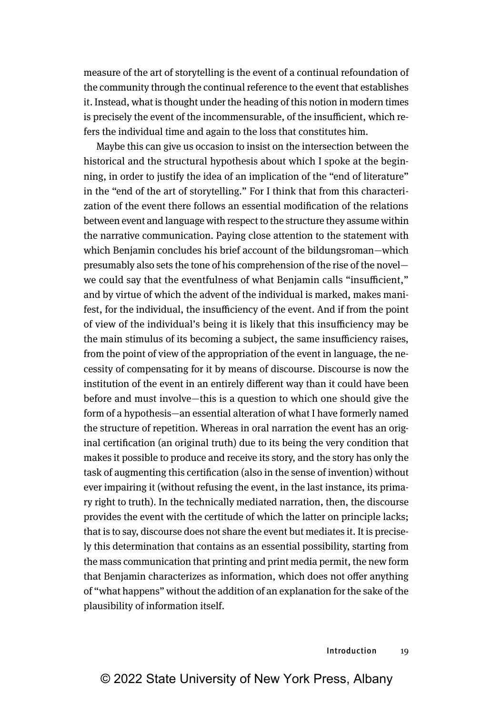measure of the art of storytelling is the event of a continual refoundation of the community through the continual reference to the event that establishes it. Instead, what is thought under the heading of this notion in modern times is precisely the event of the incommensurable, of the insufficient, which refers the individual time and again to the loss that constitutes him.

Maybe this can give us occasion to insist on the intersection between the historical and the structural hypothesis about which I spoke at the beginning, in order to justify the idea of an implication of the "end of literature" in the "end of the art of storytelling." For I think that from this characterization of the event there follows an essential modification of the relations between event and language with respect to the structure they assume within the narrative communication. Paying close attention to the statement with which Benjamin concludes his brief account of the bildungsroman―which presumably also sets the tone of his comprehension of the rise of the novel― we could say that the eventfulness of what Benjamin calls "insufficient," and by virtue of which the advent of the individual is marked, makes manifest, for the individual, the insufficiency of the event. And if from the point of view of the individual's being it is likely that this insufficiency may be the main stimulus of its becoming a subject, the same insufficiency raises, from the point of view of the appropriation of the event in language, the necessity of compensating for it by means of discourse. Discourse is now the institution of the event in an entirely different way than it could have been before and must involve―this is a question to which one should give the form of a hypothesis―an essential alteration of what I have formerly named the structure of repetition. Whereas in oral narration the event has an original certification (an original truth) due to its being the very condition that makes it possible to produce and receive its story, and the story has only the task of augmenting this certification (also in the sense of invention) without ever impairing it (without refusing the event, in the last instance, its primary right to truth). In the technically mediated narration, then, the discourse provides the event with the certitude of which the latter on principle lacks; that is to say, discourse does not share the event but mediates it. It is precisely this determination that contains as an essential possibility, starting from the mass communication that printing and print media permit, the new form that Benjamin characterizes as information, which does not offer anything of "what happens" without the addition of an explanation for the sake of the plausibility of information itself.